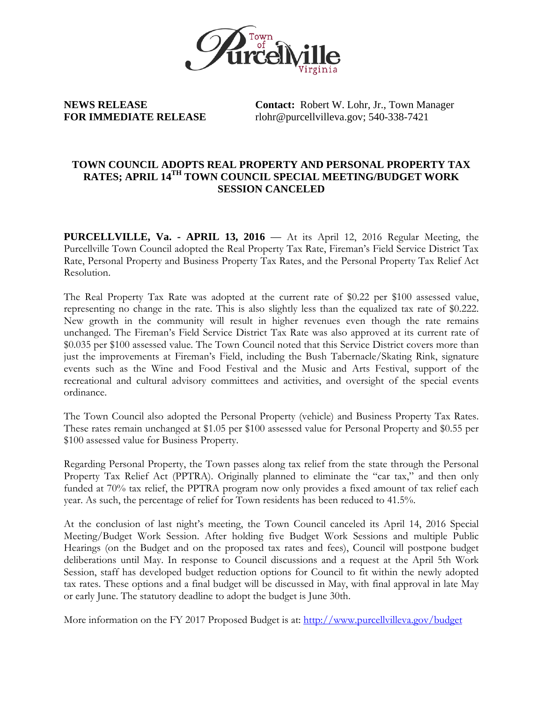

**NEWS RELEASE Contact:** Robert W. Lohr, Jr., Town Manager **FOR IMMEDIATE RELEASE** rlohr@purcellvilleva.gov; 540-338-7421

## **TOWN COUNCIL ADOPTS REAL PROPERTY AND PERSONAL PROPERTY TAX RATES; APRIL 14TH TOWN COUNCIL SPECIAL MEETING/BUDGET WORK SESSION CANCELED**

**PURCELLVILLE, Va. - APRIL 13, 2016** — At its April 12, 2016 Regular Meeting, the Purcellville Town Council adopted the Real Property Tax Rate, Fireman's Field Service District Tax Rate, Personal Property and Business Property Tax Rates, and the Personal Property Tax Relief Act Resolution.

The Real Property Tax Rate was adopted at the current rate of \$0.22 per \$100 assessed value, representing no change in the rate. This is also slightly less than the equalized tax rate of \$0.222. New growth in the community will result in higher revenues even though the rate remains unchanged. The Fireman's Field Service District Tax Rate was also approved at its current rate of \$0.035 per \$100 assessed value. The Town Council noted that this Service District covers more than just the improvements at Fireman's Field, including the Bush Tabernacle/Skating Rink, signature events such as the Wine and Food Festival and the Music and Arts Festival, support of the recreational and cultural advisory committees and activities, and oversight of the special events ordinance.

The Town Council also adopted the Personal Property (vehicle) and Business Property Tax Rates. These rates remain unchanged at \$1.05 per \$100 assessed value for Personal Property and \$0.55 per \$100 assessed value for Business Property.

Regarding Personal Property, the Town passes along tax relief from the state through the Personal Property Tax Relief Act (PPTRA). Originally planned to eliminate the "car tax," and then only funded at 70% tax relief, the PPTRA program now only provides a fixed amount of tax relief each year. As such, the percentage of relief for Town residents has been reduced to 41.5%.

At the conclusion of last night's meeting, the Town Council canceled its April 14, 2016 Special Meeting/Budget Work Session. After holding five Budget Work Sessions and multiple Public Hearings (on the Budget and on the proposed tax rates and fees), Council will postpone budget deliberations until May. In response to Council discussions and a request at the April 5th Work Session, staff has developed budget reduction options for Council to fit within the newly adopted tax rates. These options and a final budget will be discussed in May, with final approval in late May or early June. The statutory deadline to adopt the budget is June 30th.

More information on the FY 2017 Proposed Budget is at: http://www.purcellvilleva.gov/budget